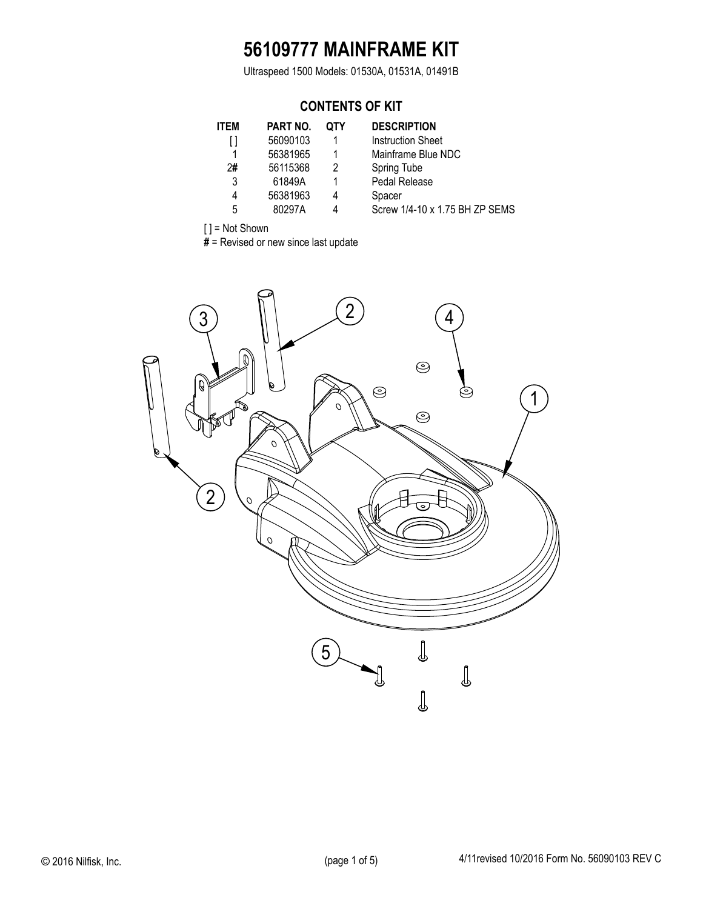## **56109777 MAINFRAME KIT**

Ultraspeed 1500 Models: 01530A, 01531A, 01491B

### **CONTENTS OF KIT**

| <b>ITEM</b> | <b>PART NO.</b> | QTY | <b>DESCRIPTION</b>      |
|-------------|-----------------|-----|-------------------------|
|             | 56090103        |     | <b>Instruction Shee</b> |
|             | 56381965        |     | Mainframe Blue          |
| 2#          | 56115368        | 2   | Spring Tube             |
| 3           | 61849A          |     | Pedal Release           |
| 4           | 56381963        | 4   | Spacer                  |
| 5           | 80297A          | 4   | Screw 1/4-10 x          |
|             |                 |     |                         |

Instruction Sheet Mainframe Blue NDC **Spring Tube** Pedal Release Screw 1/4-10 x 1.75 BH ZP SEMS

[ ] = Not Shown

**#** = Revised or new since last update

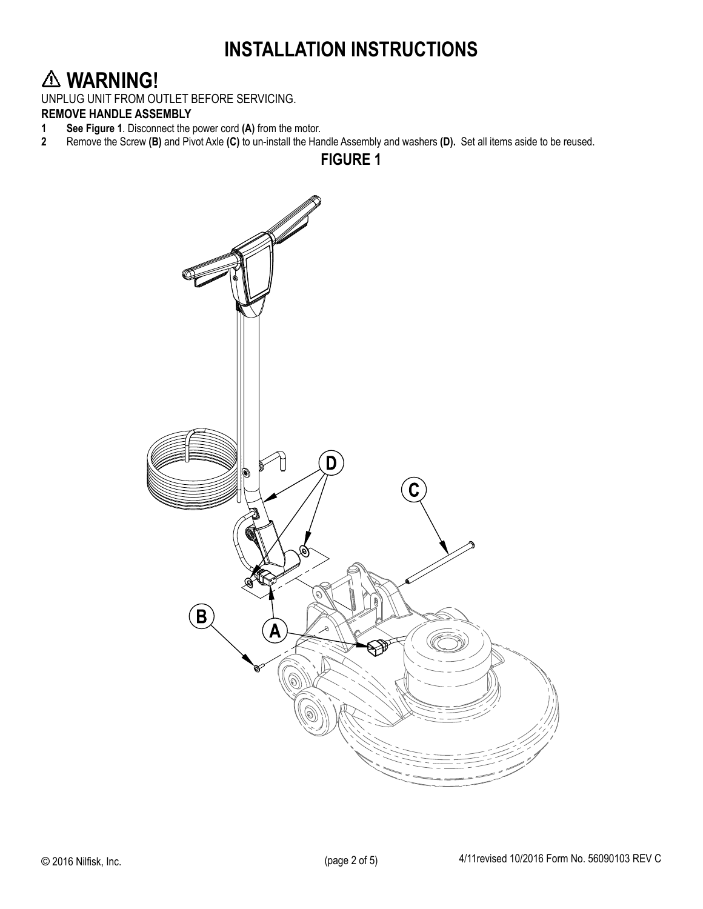## **INSTALLATION INSTRUCTIONS**

## **WARNING!**

UNPLUG UNIT FROM OUTLET BEFORE SERVICING.

# **REMOVE HANDLE ASSEMBLY**<br>**1** See Figure 1. Disconnect the

- **1 See Figure 1.** Disconnect the power cord (A) from the motor.<br>**2** Remove the Screw (B) and Pivot Axle (C) to un-install the Hai
- **2** Remove the Screw **(B)** and Pivot Axle **(C)** to un-install the Handle Assembly and washers **(D).** Set all items aside to be reused.



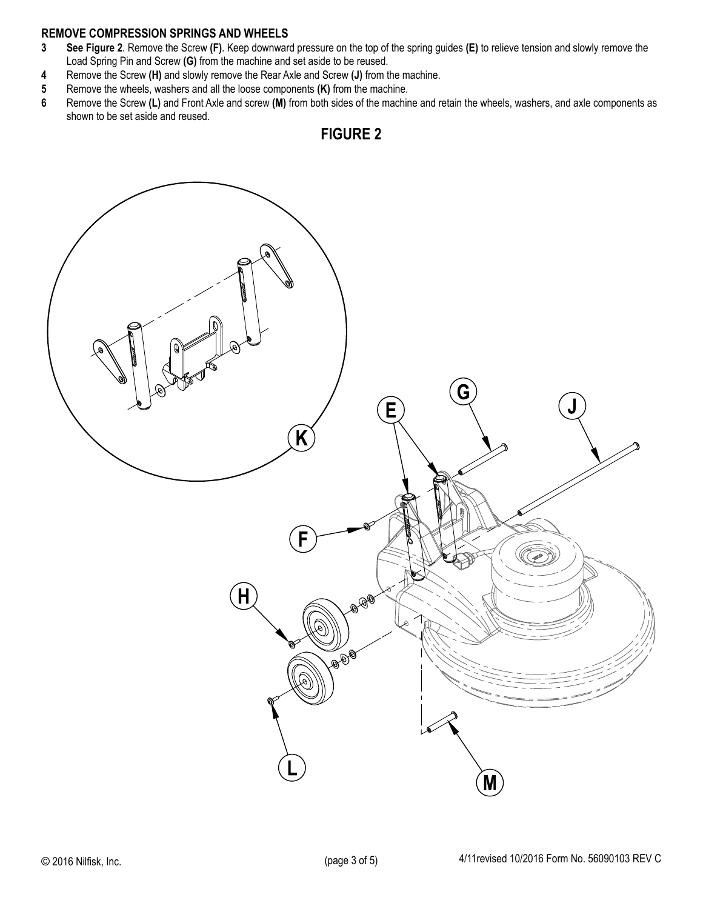### **REMOVE COMPRESSION SPRINGS AND WHEELS**

- **3 See Figure 2**. Remove the Screw **(F)**. Keep downward pressure on the top of the spring guides **(E)** to relieve tension and slowly remove the Load Spring Pin and Screw **(G)** from the machine and set aside to be reused.
- **4** Remove the Screw **(H)** and slowly remove the Rear Axle and Screw **(J)** from the machine.
- **5** Remove the wheels, washers and all the loose components **(K)** from the machine.
- **6** Remove the Screw **(L)** and Front Axle and screw **(M)** from both sides of the machine and retain the wheels, washers, and axle components as shown to be set aside and reused.



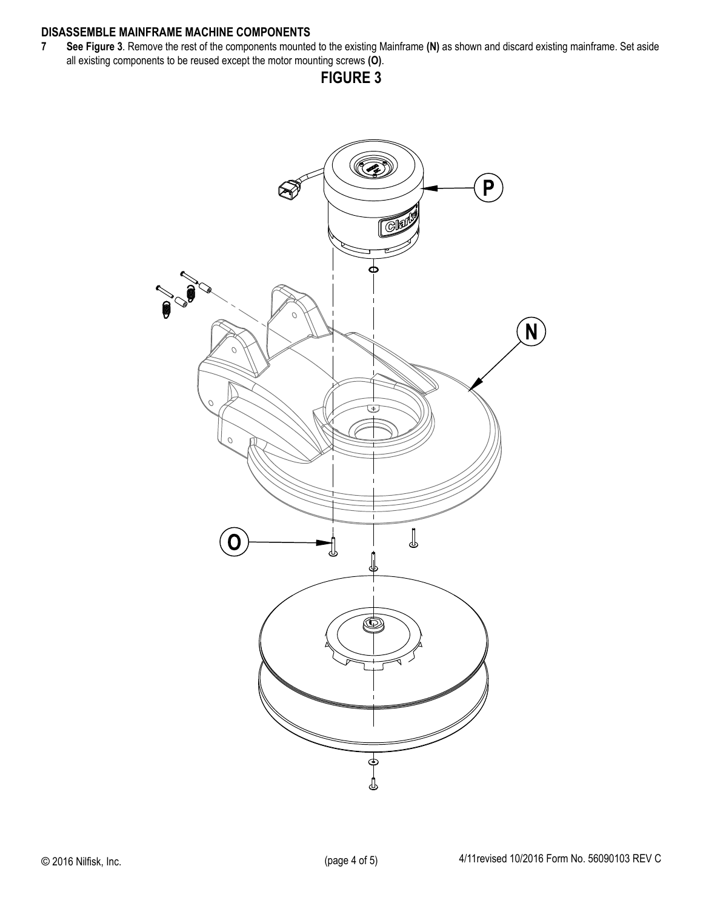### **DISASSEMBLE MAINFRAME MACHINE COMPONENTS**

**7 See Figure 3**. Remove the rest of the components mounted to the existing Mainframe **(N)** as shown and discard existing mainframe. Set aside all existing components to be reused except the motor mounting screws **(O)**.

**FIGURE 3**